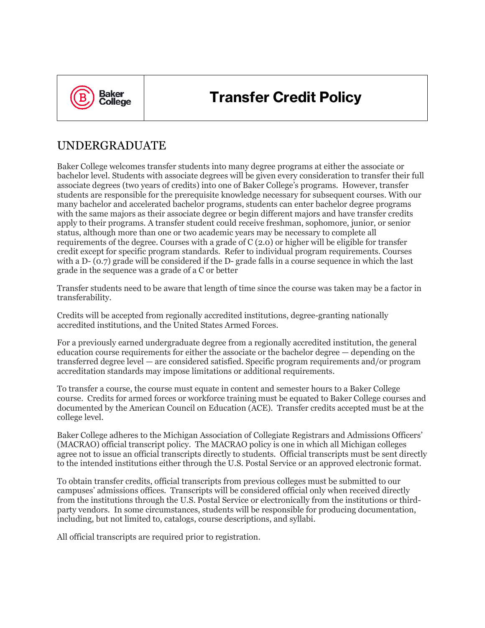

# **Transfer Credit Policy**

## UNDERGRADUATE

Baker College welcomes transfer students into many degree programs at either the associate or bachelor level. Students with associate degrees will be given every consideration to transfer their full associate degrees (two years of credits) into one of Baker College's programs. However, transfer students are responsible for the prerequisite knowledge necessary for subsequent courses. With our many bachelor and accelerated bachelor programs, students can enter bachelor degree programs with the same majors as their associate degree or begin different majors and have transfer credits apply to their programs. A transfer student could receive freshman, sophomore, junior, or senior status, although more than one or two academic years may be necessary to complete all requirements of the degree. Courses with a grade of C (2.0) or higher will be eligible for transfer credit except for specific program standards. Refer to individual program requirements. Courses with a D- (0.7) grade will be considered if the D- grade falls in a course sequence in which the last grade in the sequence was a grade of a C or better

Transfer students need to be aware that length of time since the course was taken may be a factor in transferability.

Credits will be accepted from regionally accredited institutions, degree-granting nationally accredited institutions, and the United States Armed Forces.

For a previously earned undergraduate degree from a regionally accredited institution, the general education course requirements for either the associate or the bachelor degree — depending on the transferred degree level — are considered satisfied. Specific program requirements and/or program accreditation standards may impose limitations or additional requirements.

To transfer a course, the course must equate in content and semester hours to a Baker College course. Credits for armed forces or workforce training must be equated to Baker College courses and documented by the American Council on Education (ACE). Transfer credits accepted must be at the college level.

Baker College adheres to the Michigan Association of Collegiate Registrars and Admissions Officers' (MACRAO) official transcript policy. The MACRAO policy is one in which all Michigan colleges agree not to issue an official transcripts directly to students. Official transcripts must be sent directly to the intended institutions either through the U.S. Postal Service or an approved electronic format.

To obtain transfer credits, official transcripts from previous colleges must be submitted to our campuses' admissions offices. Transcripts will be considered official only when received directly from the institutions through the U.S. Postal Service or electronically from the institutions or thirdparty vendors. In some circumstances, students will be responsible for producing documentation, including, but not limited to, catalogs, course descriptions, and syllabi.

All official transcripts are required prior to registration.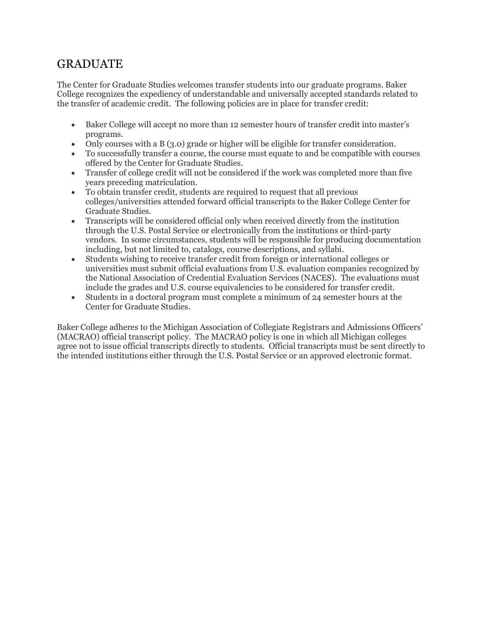## GRADUATE

The Center for Graduate Studies welcomes transfer students into our graduate programs. Baker College recognizes the expediency of understandable and universally accepted standards related to the transfer of academic credit. The following policies are in place for transfer credit:

- Baker College will accept no more than 12 semester hours of transfer credit into master's programs.
- Only courses with a B (3.0) grade or higher will be eligible for transfer consideration.
- To successfully transfer a course, the course must equate to and be compatible with courses offered by the Center for Graduate Studies.
- Transfer of college credit will not be considered if the work was completed more than five years preceding matriculation.
- To obtain transfer credit, students are required to request that all previous colleges/universities attended forward official transcripts to the Baker College Center for Graduate Studies.
- Transcripts will be considered official only when received directly from the institution through the U.S. Postal Service or electronically from the institutions or third-party vendors. In some circumstances, students will be responsible for producing documentation including, but not limited to, catalogs, course descriptions, and syllabi.
- Students wishing to receive transfer credit from foreign or international colleges or universities must submit official evaluations from U.S. evaluation companies recognized by the National Association of Credential Evaluation Services (NACES). The evaluations must include the grades and U.S. course equivalencies to be considered for transfer credit.
- Students in a doctoral program must complete a minimum of 24 semester hours at the Center for Graduate Studies.

Baker College adheres to the Michigan Association of Collegiate Registrars and Admissions Officers' (MACRAO) official transcript policy. The MACRAO policy is one in which all Michigan colleges agree not to issue official transcripts directly to students. Official transcripts must be sent directly to the intended institutions either through the U.S. Postal Service or an approved electronic format.